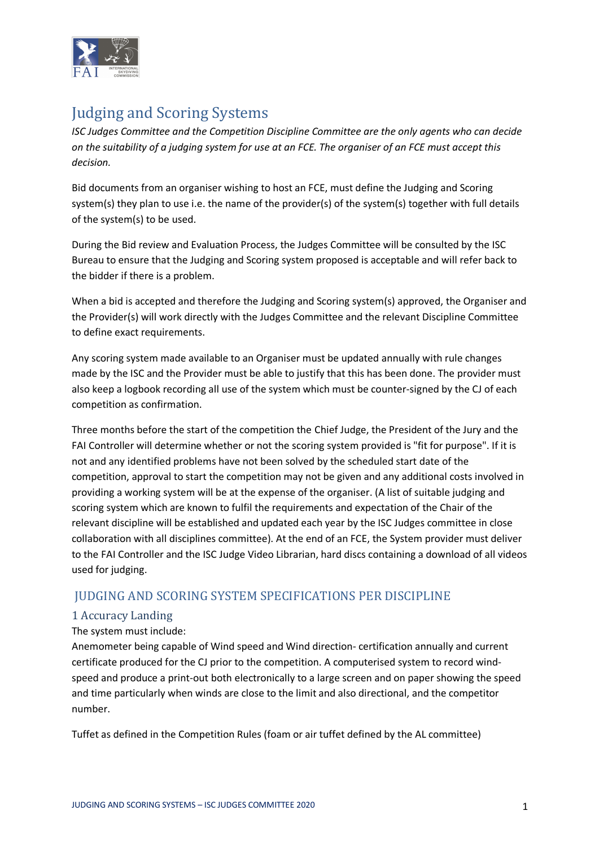

# **Judging and Scoring Systems**

*ISC Judges Committee and the Competition Discipline Committee are the only agents who can decide on the suitability of a judging system for use at an FCE. The organiser of an FCE must accept this decision.* 

Bid documents from an organiser wishing to host an FCE, must define the Judging and Scoring system(s) they plan to use i.e. the name of the provider(s) of the system(s) together with full details of the system(s) to be used.

During the Bid review and Evaluation Process, the Judges Committee will be consulted by the ISC Bureau to ensure that the Judging and Scoring system proposed is acceptable and will refer back to the bidder if there is a problem.

When a bid is accepted and therefore the Judging and Scoring system(s) approved, the Organiser and the Provider(s) will work directly with the Judges Committee and the relevant Discipline Committee to define exact requirements.

Any scoring system made available to an Organiser must be updated annually with rule changes made by the ISC and the Provider must be able to justify that this has been done. The provider must also keep a logbook recording all use of the system which must be counter-signed by the CJ of each competition as confirmation.

Three months before the start of the competition the Chief Judge, the President of the Jury and the FAI Controller will determine whether or not the scoring system provided is "fit for purpose". If it is not and any identified problems have not been solved by the scheduled start date of the competition, approval to start the competition may not be given and any additional costs involved in providing a working system will be at the expense of the organiser. (A list of suitable judging and scoring system which are known to fulfil the requirements and expectation of the Chair of the relevant discipline will be established and updated each year by the ISC Judges committee in close collaboration with all disciplines committee). At the end of an FCE, the System provider must deliver to the FAI Controller and the ISC Judge Video Librarian, hard discs containing a download of all videos used for judging.

## JUDGING AND SCORING SYSTEM SPECIFICATIONS PER DISCIPLINE

## 1 Accuracy Landing

## The system must include:

Anemometer being capable of Wind speed and Wind direction- certification annually and current certificate produced for the CJ prior to the competition. A computerised system to record windspeed and produce a print-out both electronically to a large screen and on paper showing the speed and time particularly when winds are close to the limit and also directional, and the competitor number.

Tuffet as defined in the Competition Rules (foam or air tuffet defined by the AL committee)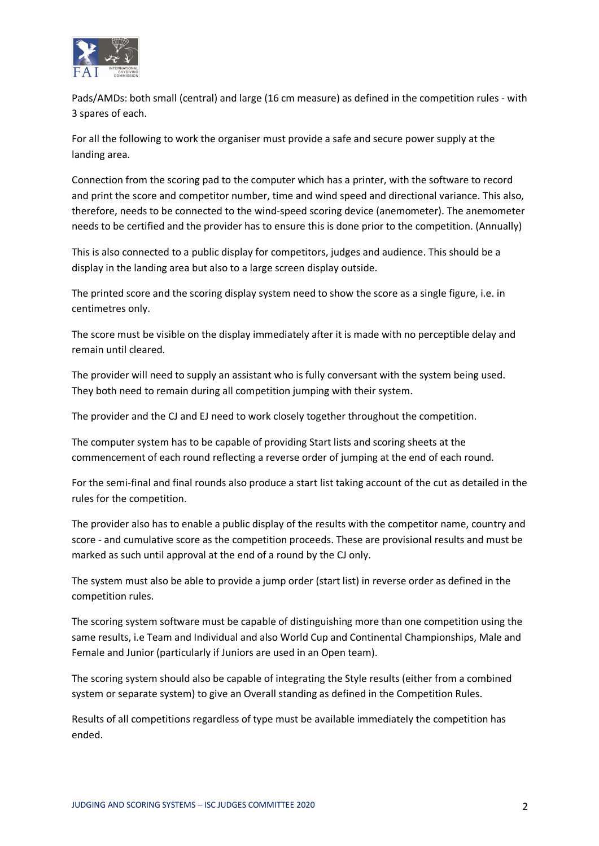

Pads/AMDs: both small (central) and large (16 cm measure) as defined in the competition rules - with 3 spares of each.

For all the following to work the organiser must provide a safe and secure power supply at the landing area.

Connection from the scoring pad to the computer which has a printer, with the software to record and print the score and competitor number, time and wind speed and directional variance. This also, therefore, needs to be connected to the wind-speed scoring device (anemometer). The anemometer needs to be certified and the provider has to ensure this is done prior to the competition. (Annually)

This is also connected to a public display for competitors, judges and audience. This should be a display in the landing area but also to a large screen display outside.

The printed score and the scoring display system need to show the score as a single figure, i.e. in centimetres only.

The score must be visible on the display immediately after it is made with no perceptible delay and remain until cleared.

The provider will need to supply an assistant who is fully conversant with the system being used. They both need to remain during all competition jumping with their system.

The provider and the CJ and EJ need to work closely together throughout the competition.

The computer system has to be capable of providing Start lists and scoring sheets at the commencement of each round reflecting a reverse order of jumping at the end of each round.

For the semi-final and final rounds also produce a start list taking account of the cut as detailed in the rules for the competition.

The provider also has to enable a public display of the results with the competitor name, country and score - and cumulative score as the competition proceeds. These are provisional results and must be marked as such until approval at the end of a round by the CJ only.

The system must also be able to provide a jump order (start list) in reverse order as defined in the competition rules.

The scoring system software must be capable of distinguishing more than one competition using the same results, i.e Team and Individual and also World Cup and Continental Championships, Male and Female and Junior (particularly if Juniors are used in an Open team).

The scoring system should also be capable of integrating the Style results (either from a combined system or separate system) to give an Overall standing as defined in the Competition Rules.

Results of all competitions regardless of type must be available immediately the competition has ended.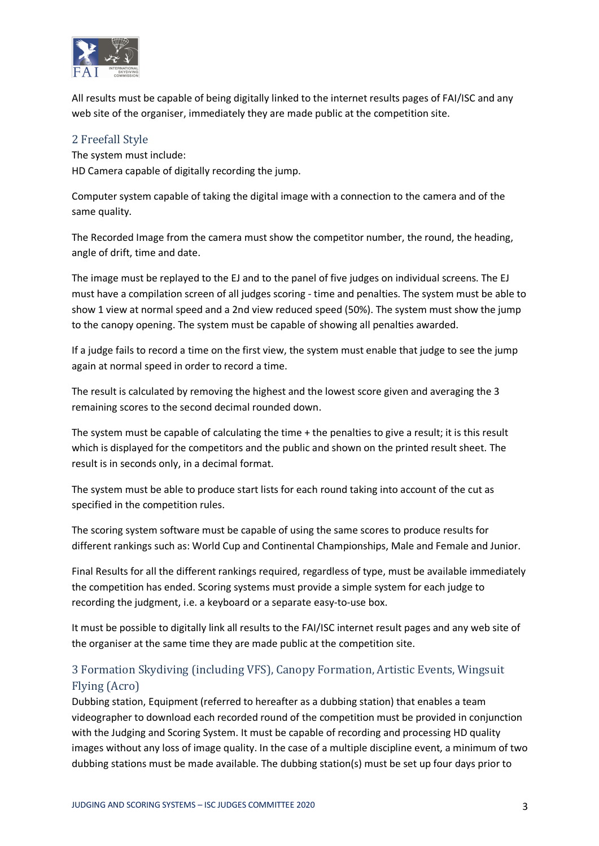

All results must be capable of being digitally linked to the internet results pages of FAI/ISC and any web site of the organiser, immediately they are made public at the competition site.

## 2 Freefall Style

The system must include: HD Camera capable of digitally recording the jump.

Computer system capable of taking the digital image with a connection to the camera and of the same quality.

The Recorded Image from the camera must show the competitor number, the round, the heading, angle of drift, time and date.

The image must be replayed to the EJ and to the panel of five judges on individual screens. The EJ must have a compilation screen of all judges scoring - time and penalties. The system must be able to show 1 view at normal speed and a 2nd view reduced speed (50%). The system must show the jump to the canopy opening. The system must be capable of showing all penalties awarded.

If a judge fails to record a time on the first view, the system must enable that judge to see the jump again at normal speed in order to record a time.

The result is calculated by removing the highest and the lowest score given and averaging the 3 remaining scores to the second decimal rounded down.

The system must be capable of calculating the time + the penalties to give a result; it is this result which is displayed for the competitors and the public and shown on the printed result sheet. The result is in seconds only, in a decimal format.

The system must be able to produce start lists for each round taking into account of the cut as specified in the competition rules.

The scoring system software must be capable of using the same scores to produce results for different rankings such as: World Cup and Continental Championships, Male and Female and Junior.

Final Results for all the different rankings required, regardless of type, must be available immediately the competition has ended. Scoring systems must provide a simple system for each judge to recording the judgment, i.e. a keyboard or a separate easy-to-use box.

It must be possible to digitally link all results to the FAI/ISC internet result pages and any web site of the organiser at the same time they are made public at the competition site.

# 3 Formation Skydiving (including VFS), Canopy Formation, Artistic Events, Wingsuit Flying (Acro)

Dubbing station, Equipment (referred to hereafter as a dubbing station) that enables a team videographer to download each recorded round of the competition must be provided in conjunction with the Judging and Scoring System. It must be capable of recording and processing HD quality images without any loss of image quality. In the case of a multiple discipline event, a minimum of two dubbing stations must be made available. The dubbing station(s) must be set up four days prior to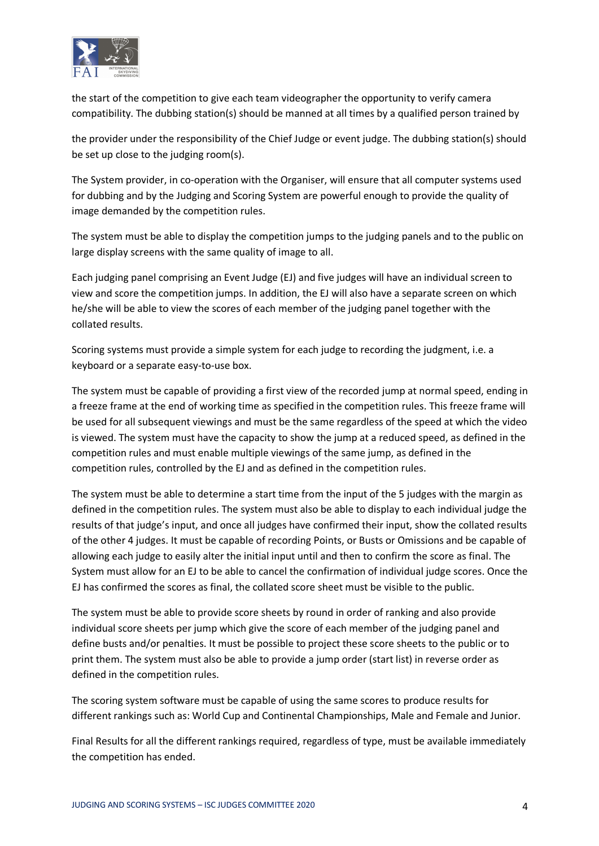

the start of the competition to give each team videographer the opportunity to verify camera compatibility. The dubbing station(s) should be manned at all times by a qualified person trained by

the provider under the responsibility of the Chief Judge or event judge. The dubbing station(s) should be set up close to the judging room(s).

The System provider, in co-operation with the Organiser, will ensure that all computer systems used for dubbing and by the Judging and Scoring System are powerful enough to provide the quality of image demanded by the competition rules.

The system must be able to display the competition jumps to the judging panels and to the public on large display screens with the same quality of image to all.

Each judging panel comprising an Event Judge (EJ) and five judges will have an individual screen to view and score the competition jumps. In addition, the EJ will also have a separate screen on which he/she will be able to view the scores of each member of the judging panel together with the collated results.

Scoring systems must provide a simple system for each judge to recording the judgment, i.e. a keyboard or a separate easy-to-use box.

The system must be capable of providing a first view of the recorded jump at normal speed, ending in a freeze frame at the end of working time as specified in the competition rules. This freeze frame will be used for all subsequent viewings and must be the same regardless of the speed at which the video is viewed. The system must have the capacity to show the jump at a reduced speed, as defined in the competition rules and must enable multiple viewings of the same jump, as defined in the competition rules, controlled by the EJ and as defined in the competition rules.

The system must be able to determine a start time from the input of the 5 judges with the margin as defined in the competition rules. The system must also be able to display to each individual judge the results of that judge's input, and once all judges have confirmed their input, show the collated results of the other 4 judges. It must be capable of recording Points, or Busts or Omissions and be capable of allowing each judge to easily alter the initial input until and then to confirm the score as final. The System must allow for an EJ to be able to cancel the confirmation of individual judge scores. Once the EJ has confirmed the scores as final, the collated score sheet must be visible to the public.

The system must be able to provide score sheets by round in order of ranking and also provide individual score sheets per jump which give the score of each member of the judging panel and define busts and/or penalties. It must be possible to project these score sheets to the public or to print them. The system must also be able to provide a jump order (start list) in reverse order as defined in the competition rules.

The scoring system software must be capable of using the same scores to produce results for different rankings such as: World Cup and Continental Championships, Male and Female and Junior.

Final Results for all the different rankings required, regardless of type, must be available immediately the competition has ended.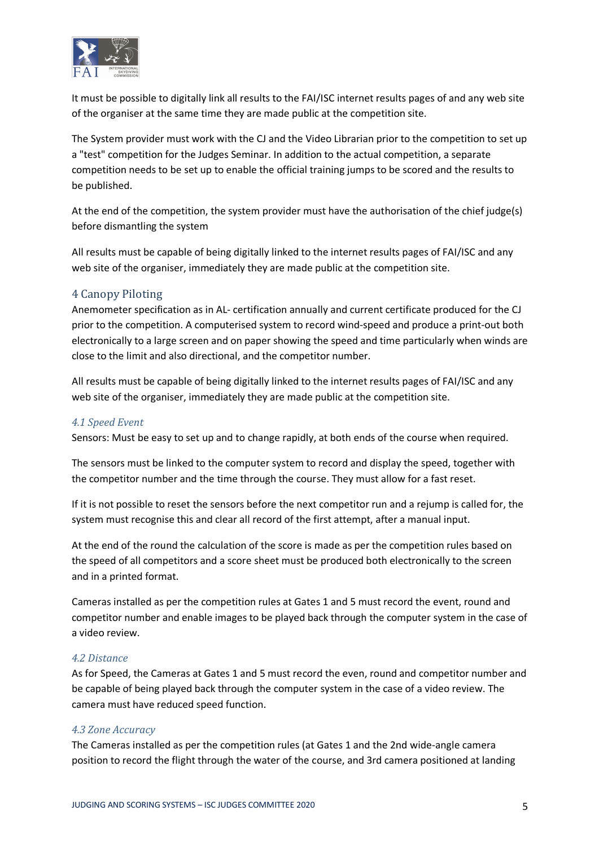

It must be possible to digitally link all results to the FAI/ISC internet results pages of and any web site of the organiser at the same time they are made public at the competition site.

The System provider must work with the CJ and the Video Librarian prior to the competition to set up a "test" competition for the Judges Seminar. In addition to the actual competition, a separate competition needs to be set up to enable the official training jumps to be scored and the results to be published.

At the end of the competition, the system provider must have the authorisation of the chief judge(s) before dismantling the system

All results must be capable of being digitally linked to the internet results pages of FAI/ISC and any web site of the organiser, immediately they are made public at the competition site.

## 4 Canopy Piloting

Anemometer specification as in AL- certification annually and current certificate produced for the CJ prior to the competition. A computerised system to record wind-speed and produce a print-out both electronically to a large screen and on paper showing the speed and time particularly when winds are close to the limit and also directional, and the competitor number.

All results must be capable of being digitally linked to the internet results pages of FAI/ISC and any web site of the organiser, immediately they are made public at the competition site.

#### *4.1 Speed Event*

Sensors: Must be easy to set up and to change rapidly, at both ends of the course when required.

The sensors must be linked to the computer system to record and display the speed, together with the competitor number and the time through the course. They must allow for a fast reset.

If it is not possible to reset the sensors before the next competitor run and a rejump is called for, the system must recognise this and clear all record of the first attempt, after a manual input.

At the end of the round the calculation of the score is made as per the competition rules based on the speed of all competitors and a score sheet must be produced both electronically to the screen and in a printed format.

Cameras installed as per the competition rules at Gates 1 and 5 must record the event, round and competitor number and enable images to be played back through the computer system in the case of a video review.

#### *4.2 Distance*

As for Speed, the Cameras at Gates 1 and 5 must record the even, round and competitor number and be capable of being played back through the computer system in the case of a video review. The camera must have reduced speed function.

#### *4.3 Zone Accuracy*

The Cameras installed as per the competition rules (at Gates 1 and the 2nd wide-angle camera position to record the flight through the water of the course, and 3rd camera positioned at landing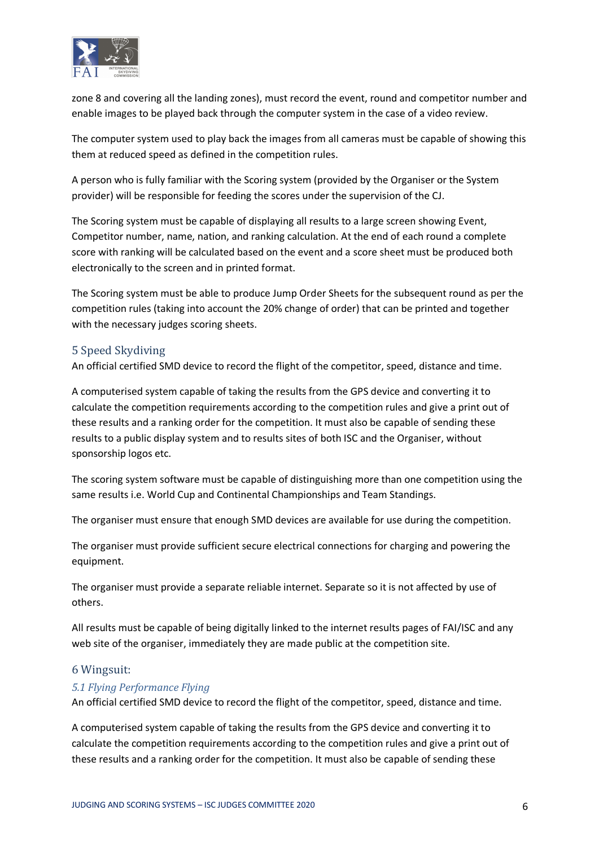

zone 8 and covering all the landing zones), must record the event, round and competitor number and enable images to be played back through the computer system in the case of a video review.

The computer system used to play back the images from all cameras must be capable of showing this them at reduced speed as defined in the competition rules.

A person who is fully familiar with the Scoring system (provided by the Organiser or the System provider) will be responsible for feeding the scores under the supervision of the CJ.

The Scoring system must be capable of displaying all results to a large screen showing Event, Competitor number, name, nation, and ranking calculation. At the end of each round a complete score with ranking will be calculated based on the event and a score sheet must be produced both electronically to the screen and in printed format.

The Scoring system must be able to produce Jump Order Sheets for the subsequent round as per the competition rules (taking into account the 20% change of order) that can be printed and together with the necessary judges scoring sheets.

## 5 Speed Skydiving

An official certified SMD device to record the flight of the competitor, speed, distance and time.

A computerised system capable of taking the results from the GPS device and converting it to calculate the competition requirements according to the competition rules and give a print out of these results and a ranking order for the competition. It must also be capable of sending these results to a public display system and to results sites of both ISC and the Organiser, without sponsorship logos etc.

The scoring system software must be capable of distinguishing more than one competition using the same results i.e. World Cup and Continental Championships and Team Standings.

The organiser must ensure that enough SMD devices are available for use during the competition.

The organiser must provide sufficient secure electrical connections for charging and powering the equipment.

The organiser must provide a separate reliable internet. Separate so it is not affected by use of others.

All results must be capable of being digitally linked to the internet results pages of FAI/ISC and any web site of the organiser, immediately they are made public at the competition site.

#### 6 Wingsuit:

#### *5.1 Flying Performance Flying*

An official certified SMD device to record the flight of the competitor, speed, distance and time.

A computerised system capable of taking the results from the GPS device and converting it to calculate the competition requirements according to the competition rules and give a print out of these results and a ranking order for the competition. It must also be capable of sending these